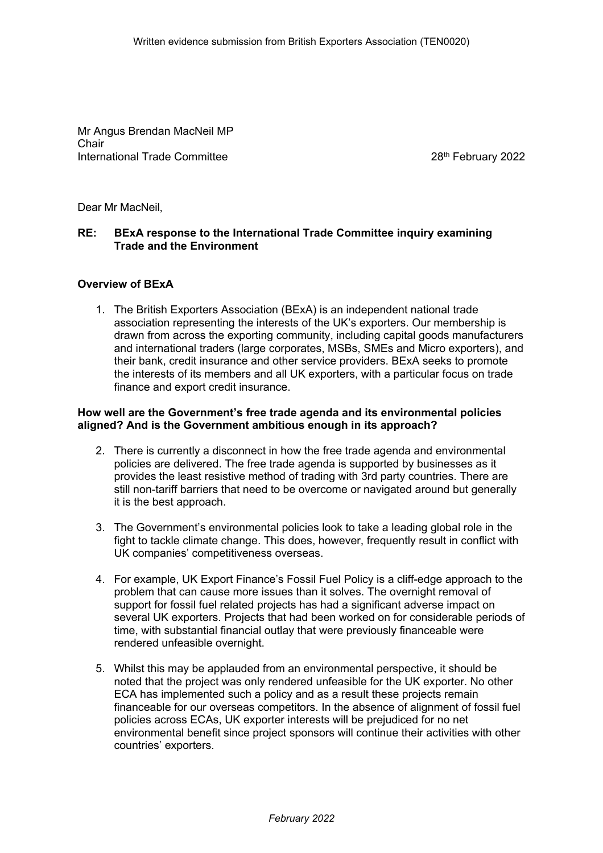Mr Angus Brendan MacNeil MP Chair International Trade Committee 28th February 2022

Dear Mr MacNeil,

# **RE: BExA response to the International Trade Committee inquiry examining Trade and the Environment**

#### **Overview of BExA**

1. The British Exporters Association (BExA) is an independent national trade association representing the interests of the UK's exporters. Our membership is drawn from across the exporting community, including capital goods manufacturers and international traders (large corporates, MSBs, SMEs and Micro exporters), and their bank, credit insurance and other service providers. BExA seeks to promote the interests of its members and all UK exporters, with a particular focus on trade finance and export credit insurance.

# **How well are the Government's free trade agenda and its environmental policies aligned? And is the Government ambitious enough in its approach?**

- 2. There is currently a disconnect in how the free trade agenda and environmental policies are delivered. The free trade agenda is supported by businesses as it provides the least resistive method of trading with 3rd party countries. There are still non-tariff barriers that need to be overcome or navigated around but generally it is the best approach.
- 3. The Government's environmental policies look to take a leading global role in the fight to tackle climate change. This does, however, frequently result in conflict with UK companies' competitiveness overseas.
- 4. For example, UK Export Finance's Fossil Fuel Policy is a cliff-edge approach to the problem that can cause more issues than it solves. The overnight removal of support for fossil fuel related projects has had a significant adverse impact on several UK exporters. Projects that had been worked on for considerable periods of time, with substantial financial outlay that were previously financeable were rendered unfeasible overnight.
- 5. Whilst this may be applauded from an environmental perspective, it should be noted that the project was only rendered unfeasible for the UK exporter. No other ECA has implemented such a policy and as a result these projects remain financeable for our overseas competitors. In the absence of alignment of fossil fuel policies across ECAs, UK exporter interests will be prejudiced for no net environmental benefit since project sponsors will continue their activities with other countries' exporters.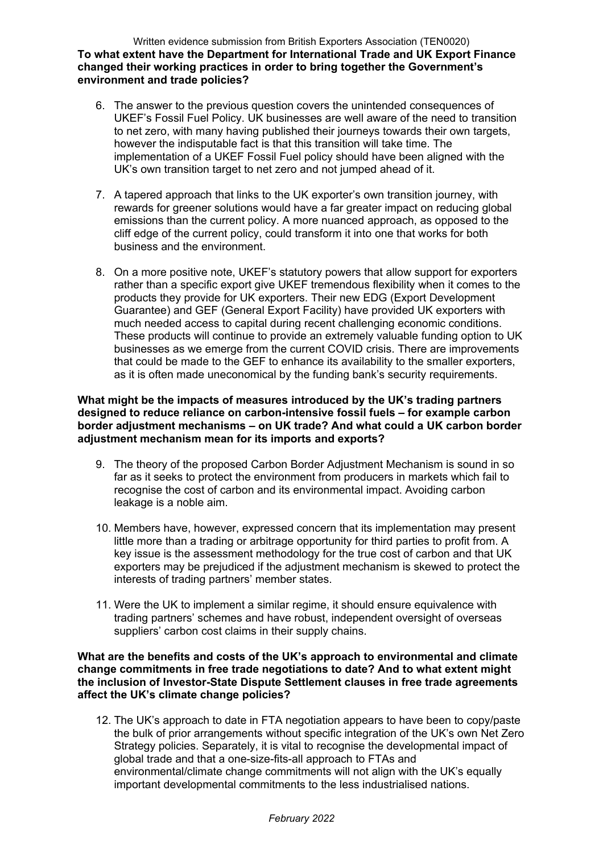Written evidence submission from British Exporters Association (TEN0020) **To what extent have the Department for International Trade and UK Export Finance changed their working practices in order to bring together the Government's environment and trade policies?** 

- 6. The answer to the previous question covers the unintended consequences of UKEF's Fossil Fuel Policy. UK businesses are well aware of the need to transition to net zero, with many having published their journeys towards their own targets, however the indisputable fact is that this transition will take time. The implementation of a UKEF Fossil Fuel policy should have been aligned with the UK's own transition target to net zero and not jumped ahead of it.
- 7. A tapered approach that links to the UK exporter's own transition journey, with rewards for greener solutions would have a far greater impact on reducing global emissions than the current policy. A more nuanced approach, as opposed to the cliff edge of the current policy, could transform it into one that works for both business and the environment.
- 8. On a more positive note, UKEF's statutory powers that allow support for exporters rather than a specific export give UKEF tremendous flexibility when it comes to the products they provide for UK exporters. Their new EDG (Export Development Guarantee) and GEF (General Export Facility) have provided UK exporters with much needed access to capital during recent challenging economic conditions. These products will continue to provide an extremely valuable funding option to UK businesses as we emerge from the current COVID crisis. There are improvements that could be made to the GEF to enhance its availability to the smaller exporters, as it is often made uneconomical by the funding bank's security requirements.

## **What might be the impacts of measures introduced by the UK's trading partners designed to reduce reliance on carbon-intensive fossil fuels – for example carbon border adjustment mechanisms – on UK trade? And what could a UK carbon border adjustment mechanism mean for its imports and exports?**

- 9. The theory of the proposed Carbon Border Adjustment Mechanism is sound in so far as it seeks to protect the environment from producers in markets which fail to recognise the cost of carbon and its environmental impact. Avoiding carbon leakage is a noble aim.
- 10. Members have, however, expressed concern that its implementation may present little more than a trading or arbitrage opportunity for third parties to profit from. A key issue is the assessment methodology for the true cost of carbon and that UK exporters may be prejudiced if the adjustment mechanism is skewed to protect the interests of trading partners' member states.
- 11. Were the UK to implement a similar regime, it should ensure equivalence with trading partners' schemes and have robust, independent oversight of overseas suppliers' carbon cost claims in their supply chains.

**What are the benefits and costs of the UK's approach to environmental and climate change commitments in free trade negotiations to date? And to what extent might the inclusion of Investor-State Dispute Settlement clauses in free trade agreements affect the UK's climate change policies?** 

12. The UK's approach to date in FTA negotiation appears to have been to copy/paste the bulk of prior arrangements without specific integration of the UK's own Net Zero Strategy policies. Separately, it is vital to recognise the developmental impact of global trade and that a one-size-fits-all approach to FTAs and environmental/climate change commitments will not align with the UK's equally important developmental commitments to the less industrialised nations.